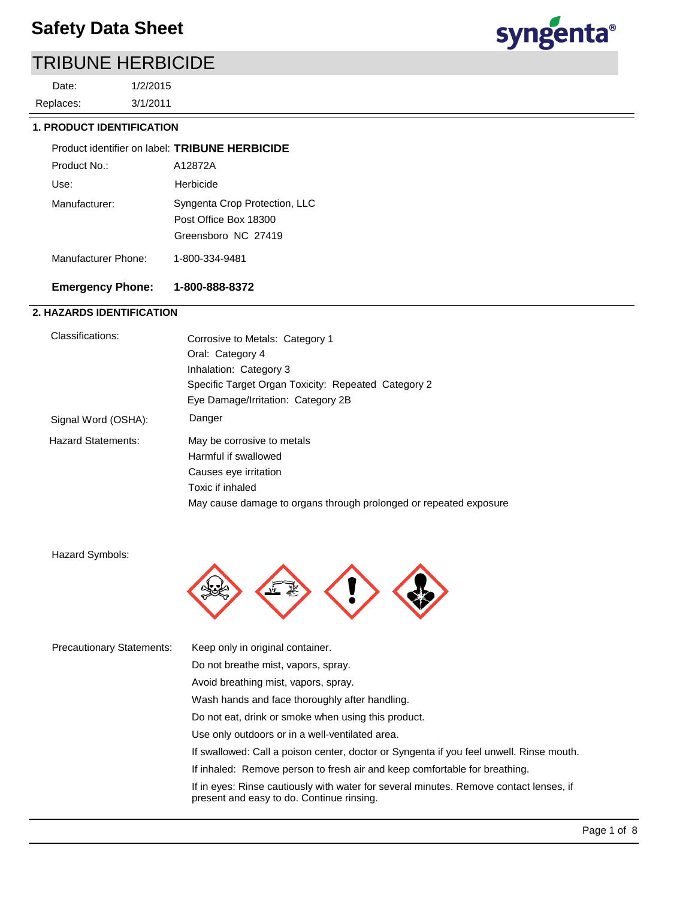3/1/2011 1/2/2015 Replaces: Date:



#### **1. PRODUCT IDENTIFICATION**

| Product identifier on label: TRIBUNE HERBICIDE |                                                                               |
|------------------------------------------------|-------------------------------------------------------------------------------|
| Product No.:                                   | A12872A                                                                       |
| Use:                                           | Herbicide                                                                     |
| Manufacturer:                                  | Syngenta Crop Protection, LLC<br>Post Office Box 18300<br>Greensboro NC 27419 |
| Manufacturer Phone:                            | 1-800-334-9481                                                                |
|                                                |                                                                               |

## **Emergency Phone: 1-800-888-8372**

## **2. HAZARDS IDENTIFICATION**

| Classifications:    | Corrosive to Metals: Category 1                                   |
|---------------------|-------------------------------------------------------------------|
|                     | Oral: Category 4                                                  |
|                     | Inhalation: Category 3                                            |
|                     | Specific Target Organ Toxicity: Repeated Category 2               |
|                     | Eye Damage/Irritation: Category 2B                                |
| Signal Word (OSHA): | Danger                                                            |
| Hazard Statements:  | May be corrosive to metals                                        |
|                     | Harmful if swallowed                                              |
|                     | Causes eye irritation                                             |
|                     | Toxic if inhaled                                                  |
|                     | May cause damage to organs through prolonged or repeated exposure |

Hazard Symbols:



| <b>Precautionary Statements:</b> | Keep only in original container.                                                                                                    |
|----------------------------------|-------------------------------------------------------------------------------------------------------------------------------------|
|                                  | Do not breathe mist, vapors, spray.                                                                                                 |
|                                  | Avoid breathing mist, vapors, spray.                                                                                                |
|                                  | Wash hands and face thoroughly after handling.                                                                                      |
|                                  | Do not eat, drink or smoke when using this product.                                                                                 |
|                                  | Use only outdoors or in a well-ventilated area.                                                                                     |
|                                  | If swallowed: Call a poison center, doctor or Syngenta if you feel unwell. Rinse mouth.                                             |
|                                  | If inhaled: Remove person to fresh air and keep comfortable for breathing.                                                          |
|                                  | If in eyes: Rinse cautiously with water for several minutes. Remove contact lenses, if<br>present and easy to do. Continue rinsing. |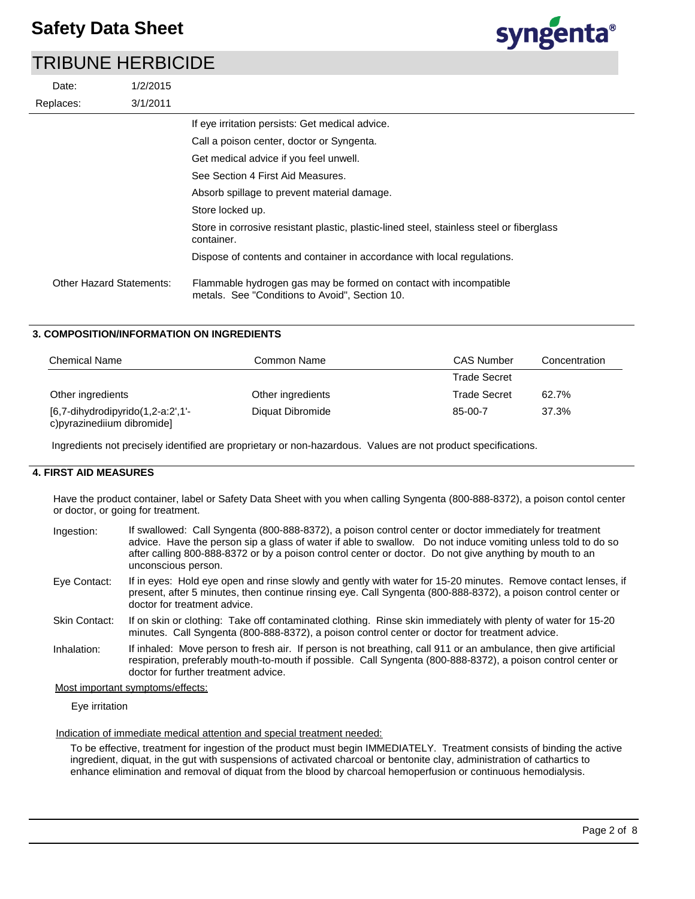| Date:                    | 1/2/2015 |                                                                                                                     |
|--------------------------|----------|---------------------------------------------------------------------------------------------------------------------|
| Replaces:                | 3/1/2011 |                                                                                                                     |
|                          |          | If eye irritation persists: Get medical advice.                                                                     |
|                          |          | Call a poison center, doctor or Syngenta.                                                                           |
|                          |          | Get medical advice if you feel unwell.                                                                              |
|                          |          | See Section 4 First Aid Measures.                                                                                   |
|                          |          | Absorb spillage to prevent material damage.                                                                         |
|                          |          | Store locked up.                                                                                                    |
|                          |          | Store in corrosive resistant plastic, plastic-lined steel, stainless steel or fiberglass<br>container.              |
|                          |          | Dispose of contents and container in accordance with local regulations.                                             |
| Other Hazard Statements: |          | Flammable hydrogen gas may be formed on contact with incompatible<br>metals. See "Conditions to Avoid". Section 10. |

### **3. COMPOSITION/INFORMATION ON INGREDIENTS**

| <b>Chemical Name</b>                                                   | Common Name       | <b>CAS Number</b>   | Concentration |
|------------------------------------------------------------------------|-------------------|---------------------|---------------|
|                                                                        |                   | <b>Trade Secret</b> |               |
| Other ingredients                                                      | Other ingredients | Trade Secret        | 62.7%         |
| $[6,7$ -dihydrodipyrido $(1,2$ -a:2',1'-<br>c)pyrazinediium dibromide] | Diquat Dibromide  | 85-00-7             | 37.3%         |

Ingredients not precisely identified are proprietary or non-hazardous. Values are not product specifications.

## **4. FIRST AID MEASURES**

Have the product container, label or Safety Data Sheet with you when calling Syngenta (800-888-8372), a poison contol center or doctor, or going for treatment.

| Ingestion: | If swallowed: Call Syngenta (800-888-8372), a poison control center or doctor immediately for treatment      |
|------------|--------------------------------------------------------------------------------------------------------------|
|            | advice. Have the person sip a glass of water if able to swallow. Do not induce vomiting unless told to do so |
|            | after calling 800-888-8372 or by a poison control center or doctor. Do not give anything by mouth to an      |
|            | unconscious person.                                                                                          |

If in eyes: Hold eye open and rinse slowly and gently with water for 15-20 minutes. Remove contact lenses, if present, after 5 minutes, then continue rinsing eye. Call Syngenta (800-888-8372), a poison control center or doctor for treatment advice. Eye Contact:

- If on skin or clothing: Take off contaminated clothing. Rinse skin immediately with plenty of water for 15-20 minutes. Call Syngenta (800-888-8372), a poison control center or doctor for treatment advice. Skin Contact:
- If inhaled: Move person to fresh air. If person is not breathing, call 911 or an ambulance, then give artificial respiration, preferably mouth-to-mouth if possible. Call Syngenta (800-888-8372), a poison control center or doctor for further treatment advice. Inhalation:

#### Most important symptoms/effects:

Eye irritation

Indication of immediate medical attention and special treatment needed:

To be effective, treatment for ingestion of the product must begin IMMEDIATELY. Treatment consists of binding the active ingredient, diquat, in the gut with suspensions of activated charcoal or bentonite clay, administration of cathartics to enhance elimination and removal of diquat from the blood by charcoal hemoperfusion or continuous hemodialysis.

syngenta®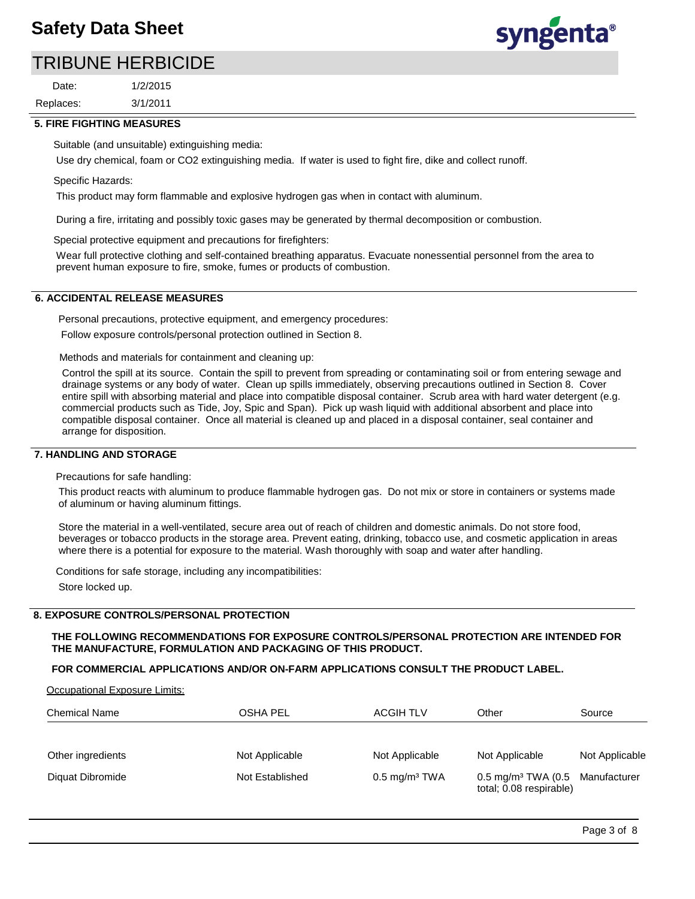## **Safety Data Sheet**

## TRIBUNE HERBICIDE

3/1/2011 1/2/2015 Replaces: Date:



#### **5. FIRE FIGHTING MEASURES**

Suitable (and unsuitable) extinguishing media:

Use dry chemical, foam or CO2 extinguishing media. If water is used to fight fire, dike and collect runoff.

#### Specific Hazards:

This product may form flammable and explosive hydrogen gas when in contact with aluminum.

During a fire, irritating and possibly toxic gases may be generated by thermal decomposition or combustion.

Special protective equipment and precautions for firefighters:

Wear full protective clothing and self-contained breathing apparatus. Evacuate nonessential personnel from the area to prevent human exposure to fire, smoke, fumes or products of combustion.

### **6. ACCIDENTAL RELEASE MEASURES**

Personal precautions, protective equipment, and emergency procedures: Follow exposure controls/personal protection outlined in Section 8.

Methods and materials for containment and cleaning up:

Control the spill at its source. Contain the spill to prevent from spreading or contaminating soil or from entering sewage and drainage systems or any body of water. Clean up spills immediately, observing precautions outlined in Section 8. Cover entire spill with absorbing material and place into compatible disposal container. Scrub area with hard water detergent (e.g. commercial products such as Tide, Joy, Spic and Span). Pick up wash liquid with additional absorbent and place into compatible disposal container. Once all material is cleaned up and placed in a disposal container, seal container and arrange for disposition.

#### **7. HANDLING AND STORAGE**

Precautions for safe handling:

This product reacts with aluminum to produce flammable hydrogen gas. Do not mix or store in containers or systems made of aluminum or having aluminum fittings.

Store the material in a well-ventilated, secure area out of reach of children and domestic animals. Do not store food, beverages or tobacco products in the storage area. Prevent eating, drinking, tobacco use, and cosmetic application in areas where there is a potential for exposure to the material. Wash thoroughly with soap and water after handling.

Conditions for safe storage, including any incompatibilities:

Store locked up.

#### **8. EXPOSURE CONTROLS/PERSONAL PROTECTION**

**THE FOLLOWING RECOMMENDATIONS FOR EXPOSURE CONTROLS/PERSONAL PROTECTION ARE INTENDED FOR THE MANUFACTURE, FORMULATION AND PACKAGING OF THIS PRODUCT.** 

#### **FOR COMMERCIAL APPLICATIONS AND/OR ON-FARM APPLICATIONS CONSULT THE PRODUCT LABEL.**

Occupational Exposure Limits:

| <b>Chemical Name</b> | OSHA PEL        | <b>ACGIH TLV</b>         | Other                                                                  | Source         |
|----------------------|-----------------|--------------------------|------------------------------------------------------------------------|----------------|
|                      |                 |                          |                                                                        |                |
| Other ingredients    | Not Applicable  | Not Applicable           | Not Applicable                                                         | Not Applicable |
| Diquat Dibromide     | Not Established | $0.5 \text{ mg/m}^3$ TWA | 0.5 mg/m <sup>3</sup> TWA (0.5 Manufacturer<br>total; 0.08 respirable) |                |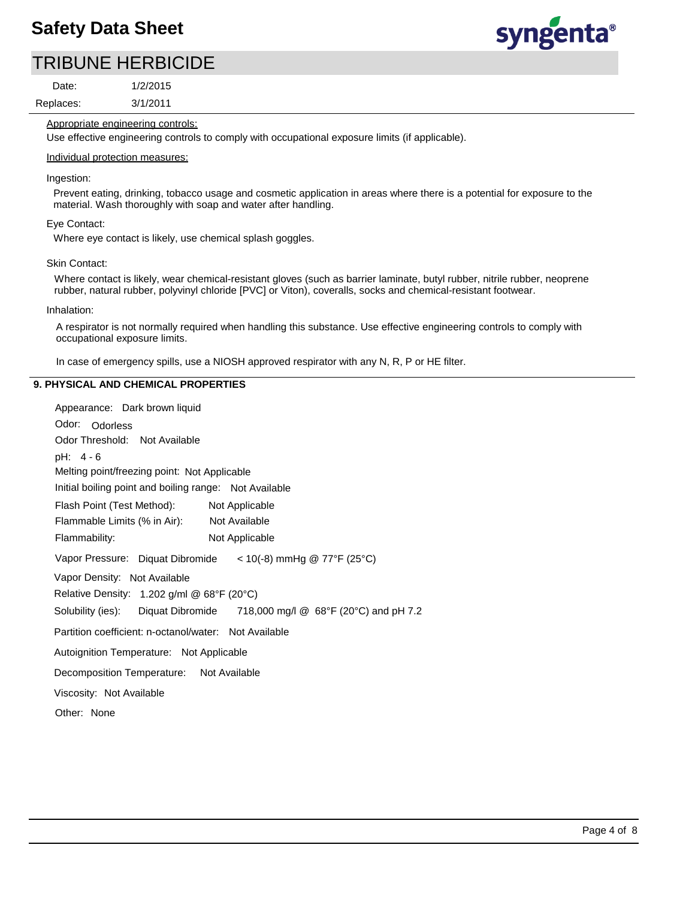

Replaces: Date:

3/1/2011 1/2/2015

Appropriate engineering controls:

Use effective engineering controls to comply with occupational exposure limits (if applicable).

#### Individual protection measures:

#### Ingestion:

Prevent eating, drinking, tobacco usage and cosmetic application in areas where there is a potential for exposure to the material. Wash thoroughly with soap and water after handling.

#### Eye Contact:

Where eye contact is likely, use chemical splash goggles.

#### Skin Contact:

Where contact is likely, wear chemical-resistant gloves (such as barrier laminate, butyl rubber, nitrile rubber, neoprene rubber, natural rubber, polyvinyl chloride [PVC] or Viton), coveralls, socks and chemical-resistant footwear.

#### Inhalation:

A respirator is not normally required when handling this substance. Use effective engineering controls to comply with occupational exposure limits.

In case of emergency spills, use a NIOSH approved respirator with any N, R, P or HE filter.

### **9. PHYSICAL AND CHEMICAL PROPERTIES**

| Appearance: Dark brown liquid                                              |  |  |
|----------------------------------------------------------------------------|--|--|
| Odor: Odorless                                                             |  |  |
| Odor Threshold: Not Available                                              |  |  |
| pH: 4 - 6                                                                  |  |  |
| Melting point/freezing point: Not Applicable                               |  |  |
| Initial boiling point and boiling range: Not Available                     |  |  |
| Flash Point (Test Method): Not Applicable                                  |  |  |
| Flammable Limits (% in Air): Not Available                                 |  |  |
| Flammability:<br>Not Applicable                                            |  |  |
| Vapor Pressure: Diquat Dibromide $\lt$ 10(-8) mmHg @ 77°F (25°C)           |  |  |
| Vapor Density: Not Available                                               |  |  |
| Relative Density: 1.202 g/ml @ 68°F (20°C)                                 |  |  |
| Solubility (ies): Diquat Dibromide 718,000 mg/l $@$ 68°F (20°C) and pH 7.2 |  |  |
| Partition coefficient: n-octanol/water: Not Available                      |  |  |
| Autoignition Temperature: Not Applicable                                   |  |  |
| Decomposition Temperature: Not Available                                   |  |  |
| Viscosity: Not Available                                                   |  |  |
| Other: None                                                                |  |  |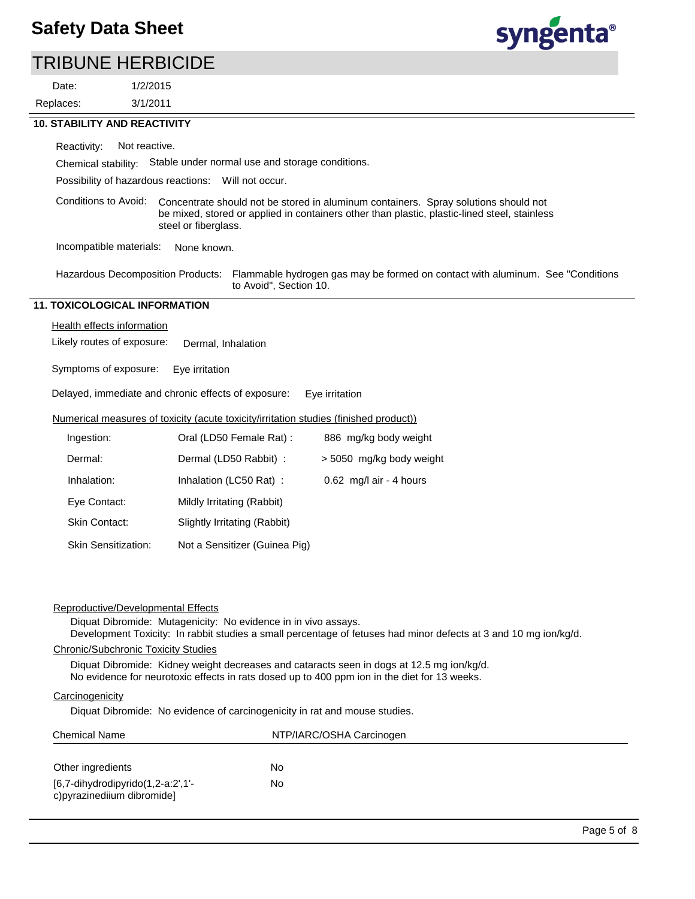Replaces: Date:





#### **10. STABILITY AND REACTIVITY**

Reactivity: Not reactive.

Chemical stability: Stable under normal use and storage conditions.

Possibility of hazardous reactions: Will not occur.

Conditions to Avoid: Concentrate should not be stored in aluminum containers. Spray solutions should not be mixed, stored or applied in containers other than plastic, plastic-lined steel, stainless steel or fiberglass.

Incompatible materials: None known.

Flammable hydrogen gas may be formed on contact with aluminum. See "Conditions to Avoid", Section 10. Hazardous Decomposition Products:

## **11. TOXICOLOGICAL INFORMATION**

Health effects information

Likely routes of exposure: Dermal, Inhalation

Symptoms of exposure: Eye irritation

Delayed, immediate and chronic effects of exposure: Eye irritation

#### Numerical measures of toxicity (acute toxicity/irritation studies (finished product))

| Ingestion:                 | Oral (LD50 Female Rat):       | 886 mg/kg body weight    |
|----------------------------|-------------------------------|--------------------------|
| Dermal:                    | Dermal (LD50 Rabbit) :        | > 5050 mg/kg body weight |
| Inhalation:                | Inhalation (LC50 Rat):        | 0.62 mg/l air - 4 hours  |
| Eye Contact:               | Mildly Irritating (Rabbit)    |                          |
| <b>Skin Contact:</b>       | Slightly Irritating (Rabbit)  |                          |
| <b>Skin Sensitization:</b> | Not a Sensitizer (Guinea Pig) |                          |

| Reproductive/Developmental Effects                                                                                                                                                                                                                                                                                                                                                                                     |                          |  |  |  |                 |                                                                            |
|------------------------------------------------------------------------------------------------------------------------------------------------------------------------------------------------------------------------------------------------------------------------------------------------------------------------------------------------------------------------------------------------------------------------|--------------------------|--|--|--|-----------------|----------------------------------------------------------------------------|
| Diquat Dibromide: Mutagenicity: No evidence in in vivo assays.<br>Development Toxicity: In rabbit studies a small percentage of fetuses had minor defects at 3 and 10 mg ion/kg/d.<br>Chronic/Subchronic Toxicity Studies<br>Diguat Dibromide: Kidney weight decreases and cataracts seen in dogs at 12.5 mg ion/kg/d.<br>No evidence for neurotoxic effects in rats dosed up to 400 ppm ion in the diet for 13 weeks. |                          |  |  |  |                 |                                                                            |
|                                                                                                                                                                                                                                                                                                                                                                                                                        |                          |  |  |  | Carcinogenicity |                                                                            |
|                                                                                                                                                                                                                                                                                                                                                                                                                        |                          |  |  |  |                 | Diquat Dibromide: No evidence of carcinogenicity in rat and mouse studies. |
| <b>Chemical Name</b>                                                                                                                                                                                                                                                                                                                                                                                                   | NTP/IARC/OSHA Carcinogen |  |  |  |                 |                                                                            |
| Other ingredients                                                                                                                                                                                                                                                                                                                                                                                                      | No                       |  |  |  |                 |                                                                            |
| $[6,7$ -dihydrodipyrido $(1,2$ -a:2',1'-<br>No<br>c) pyrazine diium dibromide]                                                                                                                                                                                                                                                                                                                                         |                          |  |  |  |                 |                                                                            |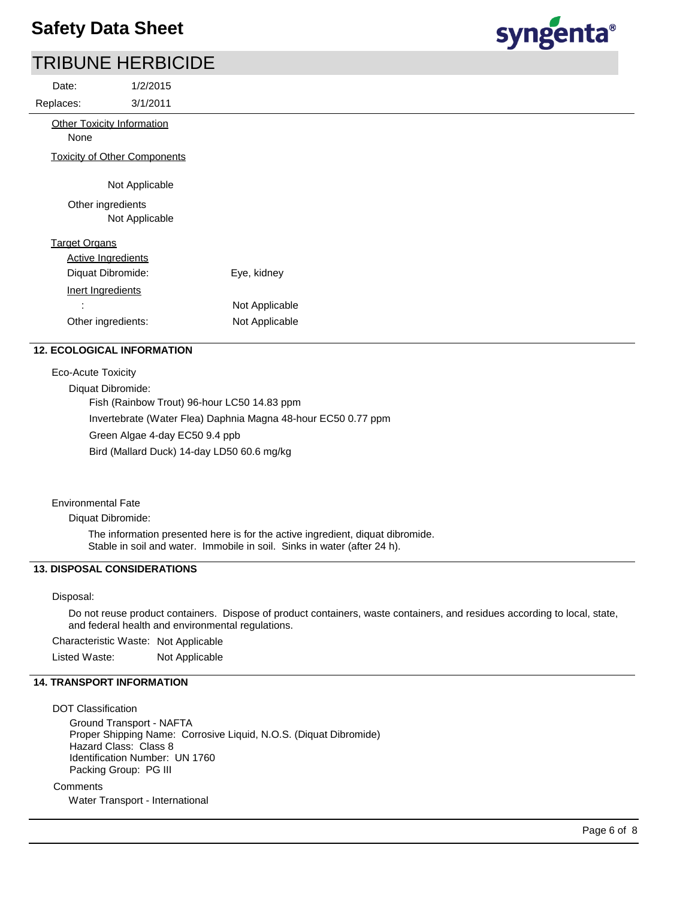| Date:     | 1/2/2015                            |
|-----------|-------------------------------------|
| Replaces: | 3/1/2011                            |
| None      | <b>Other Toxicity Information</b>   |
|           | <b>Toxicity of Other Components</b> |
|           | Not Applicable                      |
|           | Other ingredients                   |

Target Organs Not Applicable

| <b>Active Ingredients</b> |                |
|---------------------------|----------------|
| Diquat Dibromide:         | Eye, kidney    |
| Inert Ingredients         |                |
| ÷                         | Not Applicable |
| Other ingredients:        | Not Applicable |

### **12. ECOLOGICAL INFORMATION**

Eco-Acute Toxicity

Diquat Dibromide:

Fish (Rainbow Trout) 96-hour LC50 14.83 ppm

Invertebrate (Water Flea) Daphnia Magna 48-hour EC50 0.77 ppm

Green Algae 4-day EC50 9.4 ppb

Bird (Mallard Duck) 14-day LD50 60.6 mg/kg

#### Environmental Fate

Diquat Dibromide:

The information presented here is for the active ingredient, diquat dibromide. Stable in soil and water. Immobile in soil. Sinks in water (after 24 h).

## **13. DISPOSAL CONSIDERATIONS**

## Disposal:

Do not reuse product containers. Dispose of product containers, waste containers, and residues according to local, state, and federal health and environmental regulations.

Characteristic Waste: Not Applicable

Listed Waste: Not Applicable

### **14. TRANSPORT INFORMATION**

DOT Classification

Ground Transport - NAFTA Proper Shipping Name: Corrosive Liquid, N.O.S. (Diquat Dibromide) Hazard Class: Class 8 Identification Number: UN 1760 Packing Group: PG III

**Comments** 

Water Transport - International

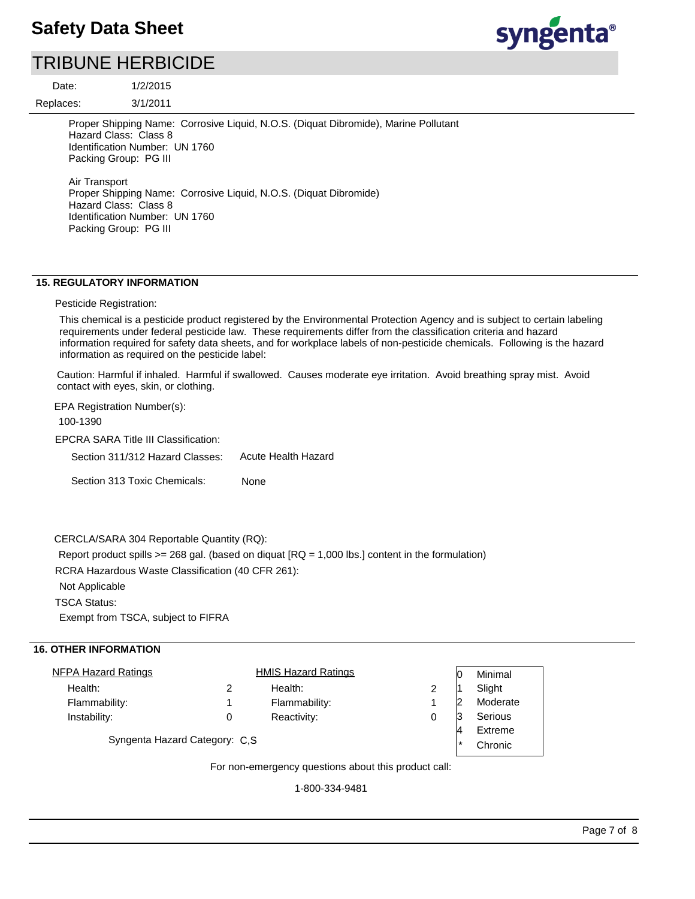

Date:

Replaces:

3/1/2011

1/2/2015

Proper Shipping Name: Corrosive Liquid, N.O.S. (Diquat Dibromide), Marine Pollutant Hazard Class: Class 8 Identification Number: UN 1760 Packing Group: PG III Air Transport

Proper Shipping Name: Corrosive Liquid, N.O.S. (Diquat Dibromide) Hazard Class: Class 8 Identification Number: UN 1760 Packing Group: PG III

## **15. REGULATORY INFORMATION**

#### Pesticide Registration:

This chemical is a pesticide product registered by the Environmental Protection Agency and is subject to certain labeling requirements under federal pesticide law. These requirements differ from the classification criteria and hazard information required for safety data sheets, and for workplace labels of non-pesticide chemicals. Following is the hazard information as required on the pesticide label:

Caution: Harmful if inhaled. Harmful if swallowed. Causes moderate eye irritation. Avoid breathing spray mist. Avoid contact with eyes, skin, or clothing.

EPCRA SARA Title III Classification: Section 311/312 Hazard Classes: Section 313 Toxic Chemicals: EPA Registration Number(s): 100-1390 None Acute Health Hazard

### CERCLA/SARA 304 Reportable Quantity (RQ):

Report product spills  $>= 268$  gal. (based on diquat  $[RQ = 1,000$  lbs.) content in the formulation)

RCRA Hazardous Waste Classification (40 CFR 261):

Not Applicable

TSCA Status:

Exempt from TSCA, subject to FIFRA

#### **16. OTHER INFORMATION**

| NFPA Hazard Ratings           |         | <b>HMIS Hazard Ratings</b> |  | Minimal  |
|-------------------------------|---------|----------------------------|--|----------|
| Health:                       |         | Health:                    |  | Slight   |
| Flammability:                 |         | Flammability:              |  | Moderate |
| Instability:                  | 0       | Reactivity:                |  | Serious  |
|                               | Extreme |                            |  |          |
| Syngenta Hazard Category: C,S | Chronic |                            |  |          |
|                               |         |                            |  |          |

For non-emergency questions about this product call:

1-800-334-9481